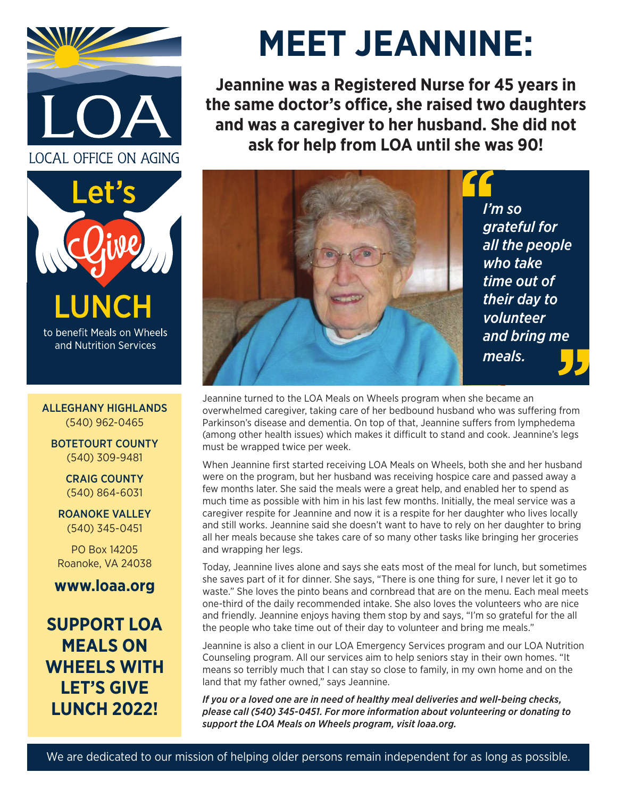



and Nutrition Services

ALLEGHANY HIGHLANDS (540) 962-0465

BOTETOURT COUNTY (540) 309-9481

> CRAIG COUNTY (540) 864-6031

ROANOKE VALLEY (540) 345-0451

PO Box 14205 Roanoke, VA 24038

**www.loaa.org**

**SUPPORT LOA MEALS ON WHEELS WITH LET'S GIVE LUNCH 2022!**

# **MEET JEANNINE:**

**Jeannine was a Registered Nurse for 45 years in the same doctor's office, she raised two daughters and was a caregiver to her husband. She did not ask for help from LOA until she was 90!**



Jeannine turned to the LOA Meals on Wheels program when she became an overwhelmed caregiver, taking care of her bedbound husband who was suffering from Parkinson's disease and dementia. On top of that, Jeannine suffers from lymphedema (among other health issues) which makes it difficult to stand and cook. Jeannine's legs must be wrapped twice per week.

When Jeannine first started receiving LOA Meals on Wheels, both she and her husband were on the program, but her husband was receiving hospice care and passed away a few months later. She said the meals were a great help, and enabled her to spend as much time as possible with him in his last few months. Initially, the meal service was a caregiver respite for Jeannine and now it is a respite for her daughter who lives locally and still works. Jeannine said she doesn't want to have to rely on her daughter to bring all her meals because she takes care of so many other tasks like bringing her groceries and wrapping her legs.

Today, Jeannine lives alone and says she eats most of the meal for lunch, but sometimes she saves part of it for dinner. She says, "There is one thing for sure, I never let it go to waste." She loves the pinto beans and cornbread that are on the menu. Each meal meets one-third of the daily recommended intake. She also loves the volunteers who are nice and friendly. Jeannine enjoys having them stop by and says, "I'm so grateful for the all the people who take time out of their day to volunteer and bring me meals."

Jeannine is also a client in our LOA Emergency Services program and our LOA Nutrition Counseling program. All our services aim to help seniors stay in their own homes. "It means so terribly much that I can stay so close to family, in my own home and on the land that my father owned," says Jeannine.

*If you or a loved one are in need of healthy meal deliveries and well-being checks, please call (540) 345-0451. For more information about volunteering or donating to support the LOA Meals on Wheels program, visit loaa.org.*